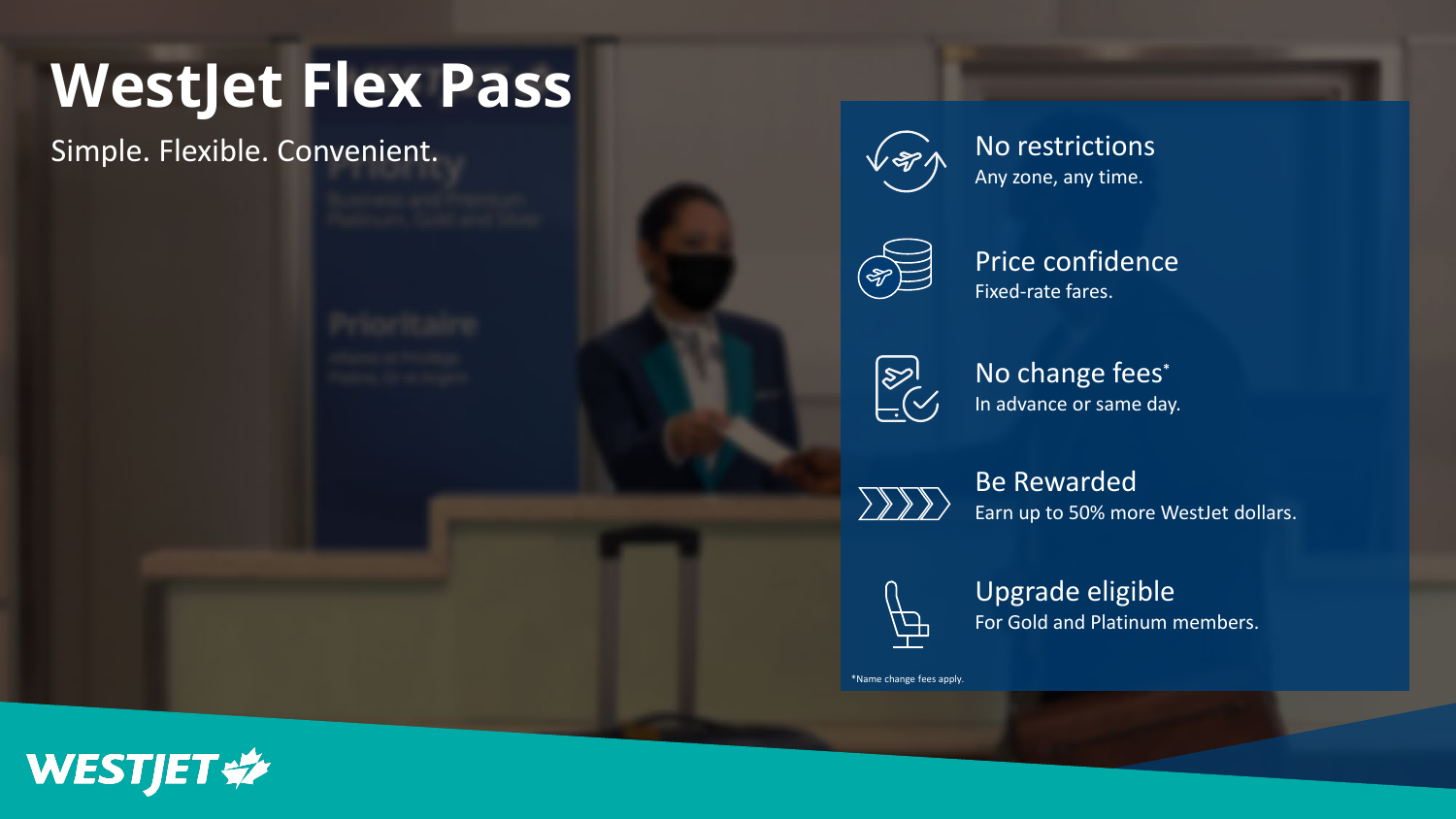# **WestJet Flex Pass**

Simple. Flexible. Convenient.



Any zone, any time.



Price confidence Fixed-rate fares.



No change fees**\*** In advance or same day.

XXX

Be Rewarded Earn up to 50% more WestJet dollars.



Upgrade eligible For Gold and Platinum members.

\*Name change fees apply.

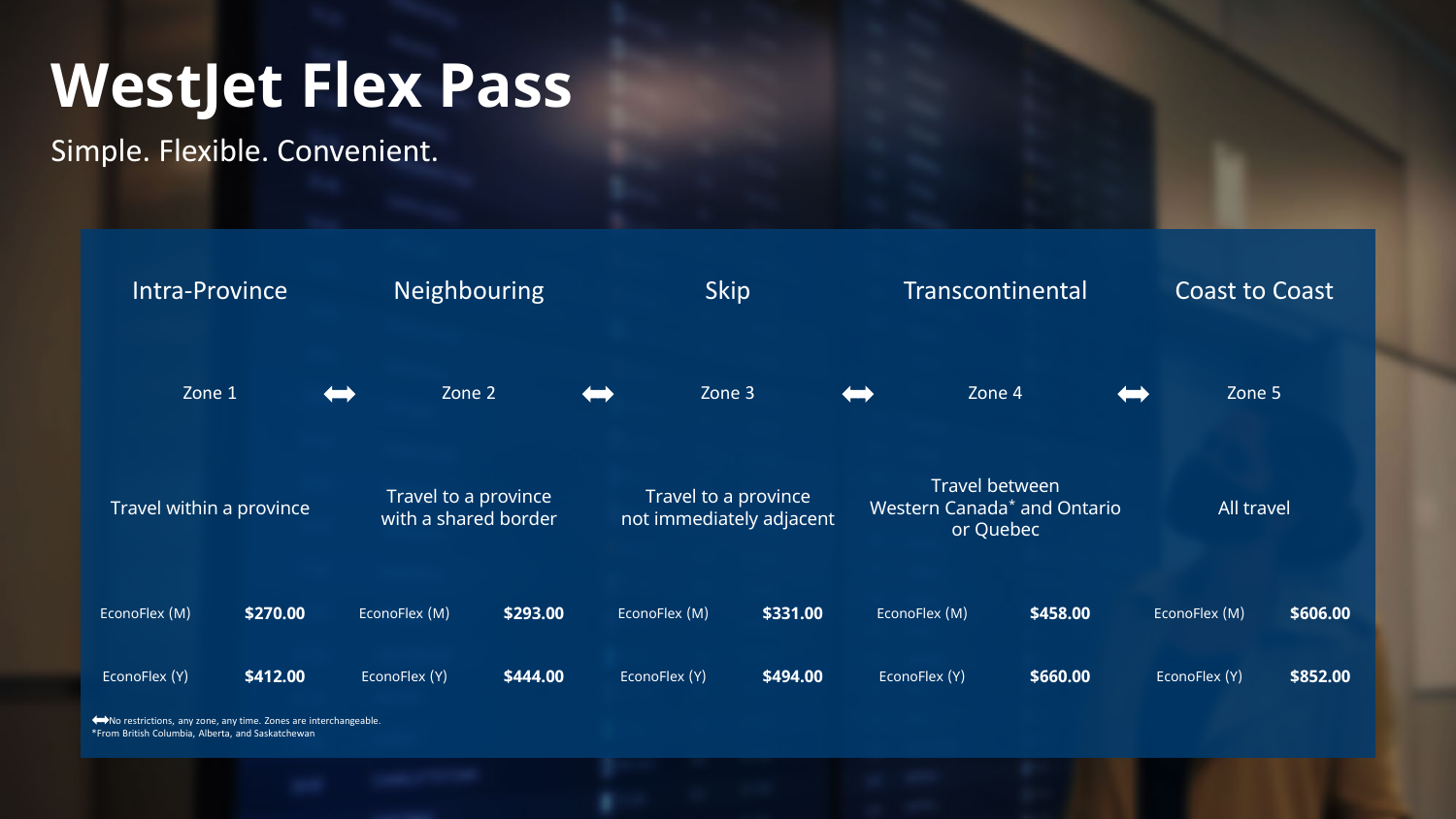## **WestJet Flex Pass**

Simple. Flexible. Convenient.



\*From British Columbia, Alberta, and Saskatchewan